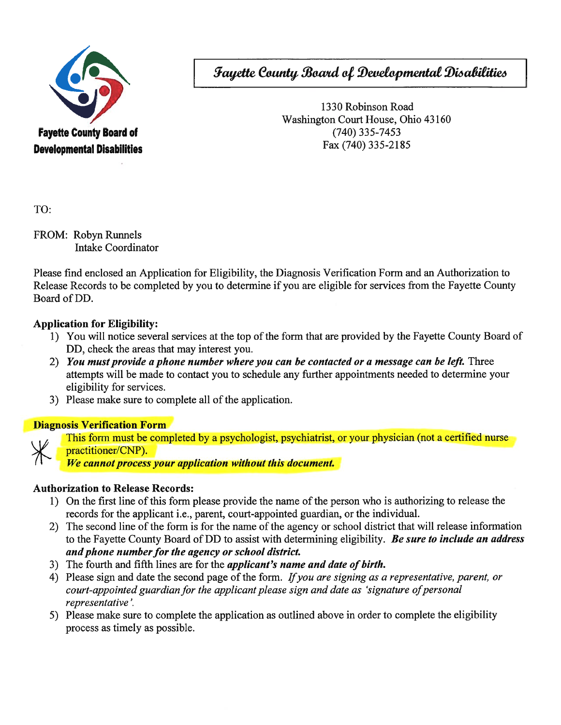

**Fayette County Board of Developmental Disabilities** 

1330 Robinson Road Washington Court House, Ohio 43160  $(740)$  335-7453 Fax (740) 335-2185

TO:

FROM: Robyn Runnels **Intake Coordinator** 

Please find enclosed an Application for Eligibility, the Diagnosis Verification Form and an Authorization to Release Records to be completed by you to determine if you are eligible for services from the Fayette County Board of DD.

## **Application for Eligibility:**

- 1) You will notice several services at the top of the form that are provided by the Fayette County Board of DD, check the areas that may interest you.
- 2) You must provide a phone number where you can be contacted or a message can be left. Three attempts will be made to contact you to schedule any further appointments needed to determine your eligibility for services.
- 3) Please make sure to complete all of the application.

### **Diagnosis Verification Form**



This form must be completed by a psychologist, psychiatrist, or your physician (not a certified nurse practitioner/CNP).

We cannot process your application without this document.

# **Authorization to Release Records:**

- 1) On the first line of this form please provide the name of the person who is authorizing to release the records for the applicant i.e., parent, court-appointed guardian, or the individual.
- 2) The second line of the form is for the name of the agency or school district that will release information to the Fayette County Board of DD to assist with determining eligibility. Be sure to include an address and phone number for the agency or school district.
- 3) The fourth and fifth lines are for the *applicant's name and date of birth*.
- 4) Please sign and date the second page of the form. If you are signing as a representative, parent, or court-appointed guardian for the applicant please sign and date as 'signature of personal representative'.
- 5) Please make sure to complete the application as outlined above in order to complete the eligibility process as timely as possible.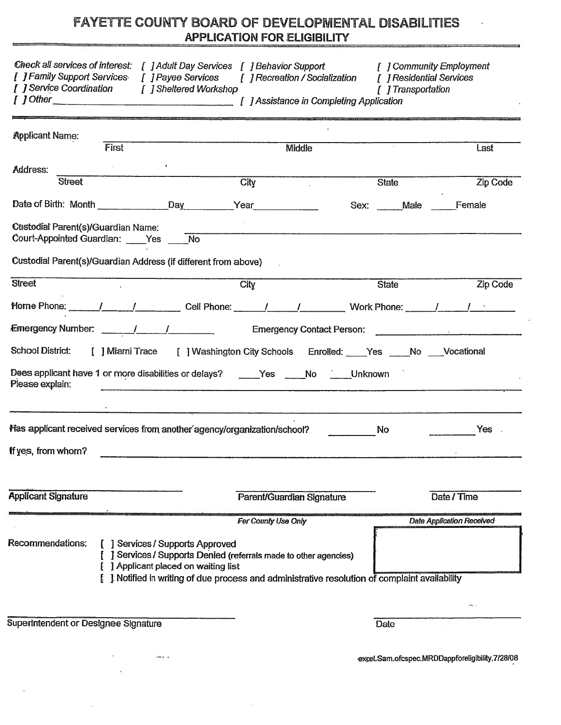# FAYETTE COUNTY BOARD OF DEVELOPMENTAL DISABILITIES APPLICATION FOR ELIGIBILITY

|                                                                                                                                                                                                                   | FAYETTE COUNTY BOARD OF DEVELOPMENTAL DISABILITIES                                                                                                                       | <b>APPLICATION FOR ELIGIBILITY</b>                                     |                           |                    |                                  |
|-------------------------------------------------------------------------------------------------------------------------------------------------------------------------------------------------------------------|--------------------------------------------------------------------------------------------------------------------------------------------------------------------------|------------------------------------------------------------------------|---------------------------|--------------------|----------------------------------|
| Check all services of interest: [ ] Adult Day Services [ ] Behavior Support<br>[ ] Family Support Services [ ] Payee Services [ ] Recreation / Socialization [ ] Residential Services<br>[ ] Service Coordination | [ ] Sheltered Workshop                                                                                                                                                   |                                                                        |                           | [ ] Transportation | [ ] Community Employment         |
| <b>Applicant Name:</b>                                                                                                                                                                                            |                                                                                                                                                                          |                                                                        |                           |                    |                                  |
|                                                                                                                                                                                                                   | First                                                                                                                                                                    |                                                                        | Middle                    |                    | Last                             |
| Address:<br><b>Street</b>                                                                                                                                                                                         |                                                                                                                                                                          | City                                                                   |                           | <b>State</b>       | Zip Code                         |
|                                                                                                                                                                                                                   |                                                                                                                                                                          |                                                                        |                           |                    |                                  |
| Date of Birth: Month Day Day Year                                                                                                                                                                                 |                                                                                                                                                                          |                                                                        |                           | Sex: Male          | Female                           |
| Custodial Parent(s)/Guardian Name:<br>Court-Appointed Guardian: ____Yes ____No                                                                                                                                    |                                                                                                                                                                          |                                                                        |                           |                    |                                  |
| <b>Custodial Parent(s)/Guardian Address (if different from above)</b>                                                                                                                                             |                                                                                                                                                                          |                                                                        |                           |                    |                                  |
| <b>Street</b>                                                                                                                                                                                                     |                                                                                                                                                                          | City                                                                   |                           | <b>State</b>       | <b>Zip Code</b>                  |
|                                                                                                                                                                                                                   |                                                                                                                                                                          |                                                                        |                           |                    |                                  |
|                                                                                                                                                                                                                   |                                                                                                                                                                          |                                                                        |                           |                    |                                  |
| School District:                                                                                                                                                                                                  | [ ] Miami Trace [ ] Washington City Schools Enrolled: ____Yes ____No ___Vocational                                                                                       |                                                                        |                           |                    |                                  |
| Dees applicant have 1 or more disabilities or delays? _____Yes _____No _____Unknown<br>Please explain:                                                                                                            |                                                                                                                                                                          |                                                                        |                           |                    |                                  |
| Has applicant received services from another agency/organization/school?<br>If yes, from whom?                                                                                                                    |                                                                                                                                                                          |                                                                        |                           | No                 | Yes                              |
| <b>Applicant Signature</b>                                                                                                                                                                                        |                                                                                                                                                                          |                                                                        | Parent/Guardian Signature |                    | Date / Time                      |
|                                                                                                                                                                                                                   |                                                                                                                                                                          |                                                                        |                           |                    |                                  |
|                                                                                                                                                                                                                   |                                                                                                                                                                          |                                                                        | For County Use Only       |                    | <b>Date Application Received</b> |
| Recommendations:                                                                                                                                                                                                  | [ ] Services / Supports Approved<br>] Applicant placed on waiting list<br>[ ] Notified in writing of due process and administrative resolution of complaint availability | <b>J</b> Services / Supports Denied (referrals made to other agencies) |                           |                    |                                  |
| <b>Superintendent or Designee Signature</b>                                                                                                                                                                       |                                                                                                                                                                          |                                                                        |                           | Date               |                                  |

 $\ddotsc$ 

excel.Sam.ofcspec.MRDDappforeligibility.7/28/08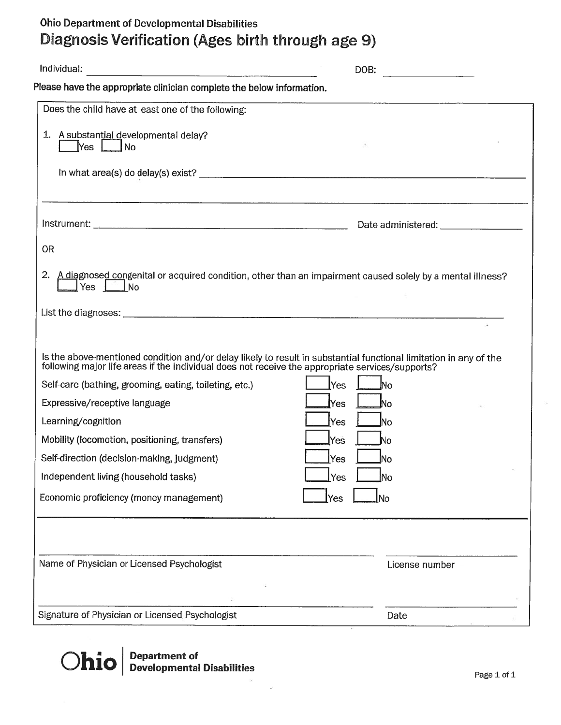# Ohio Department of Developmental Disabilities Diagnosis Verification (Ages birth through age 9)

| Individual:                                                                                                                                                                                                           | DOB:                                    |
|-----------------------------------------------------------------------------------------------------------------------------------------------------------------------------------------------------------------------|-----------------------------------------|
| Please have the appropriate clinician complete the below information.                                                                                                                                                 |                                         |
| Does the child have at least one of the following:                                                                                                                                                                    |                                         |
| 1. A substantial developmental delay?<br>$Yes$ $\Box$<br><b>No</b>                                                                                                                                                    |                                         |
|                                                                                                                                                                                                                       |                                         |
|                                                                                                                                                                                                                       | Date administered: ____________________ |
| <b>OR</b><br>2. A diagnosed congenital or acquired condition, other than an impairment caused solely by a mental illness?<br>Yes $\Box$ No                                                                            |                                         |
|                                                                                                                                                                                                                       |                                         |
| Is the above-mentioned condition and/or delay likely to result in substantial functional limitation in any of the<br>following major life areas if the individual does not receive the appropriate services/supports? |                                         |
| Self-care (bathing, grooming, eating, toileting, etc.)                                                                                                                                                                | <u>lNo</u><br><b>Yes</b>                |
| Expressive/receptive language                                                                                                                                                                                         | Yes<br>No                               |
| Learning/cognition                                                                                                                                                                                                    | Yes<br>lNo                              |
| Mobility (locomotion, positioning, transfers)                                                                                                                                                                         | Yes<br>No                               |
| Self-direction (decision-making, judgment)                                                                                                                                                                            | Yes<br><u>l</u> No                      |
| Independent living (household tasks)                                                                                                                                                                                  | lNo<br>Yes                              |
| Economic proficiency (money management)                                                                                                                                                                               | Yes<br>No                               |
|                                                                                                                                                                                                                       |                                         |
| Name of Physician or Licensed Psychologist                                                                                                                                                                            | License number                          |
| Signature of Physician or Licensed Psychologist                                                                                                                                                                       | Date                                    |

Ohio Department of Developmental Disabilities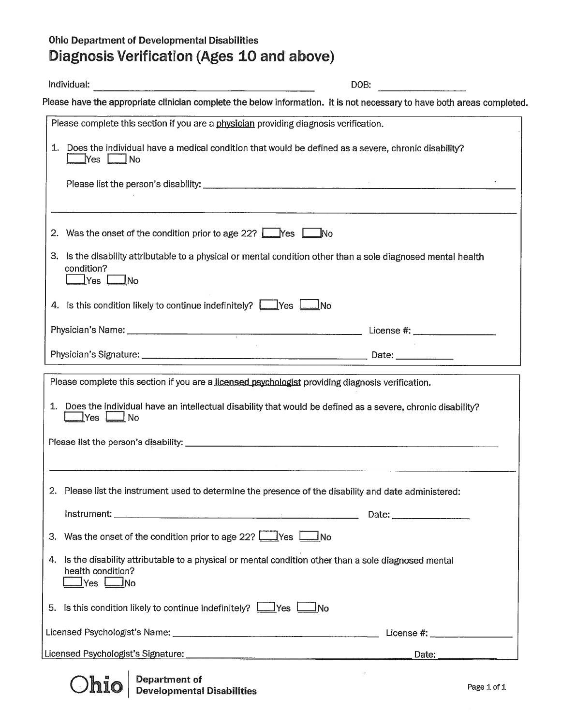# Ohio Department of Developmental Disabilities Diagnosis Verification (Ages 10 and above) Ohio Department of Developmental Disabilities<br>Diagnosis Verification (Ages 10 and above)<br>Individual: DOB:

| <b>Ohio Department of Developmental Disabilities</b>                                                                                                                                                                                 |                                        |
|--------------------------------------------------------------------------------------------------------------------------------------------------------------------------------------------------------------------------------------|----------------------------------------|
| Diagnosis Verification (Ages 10 and above)                                                                                                                                                                                           |                                        |
| Individual:                                                                                                                                                                                                                          | DOB:                                   |
| Please have the appropriate clinician complete the below information. It is not necessary to have both areas completed                                                                                                               |                                        |
| Please complete this section if you are a physician providing diagnosis verification.                                                                                                                                                |                                        |
| 1. Does the individual have a medical condition that would be defined as a severe, chronic disability?                                                                                                                               |                                        |
|                                                                                                                                                                                                                                      |                                        |
| 2. Was the onset of the condition prior to age 22? Wes No                                                                                                                                                                            | <u> 1999 - Jacques Maria (f. 1989)</u> |
| 3. Is the disability attributable to a physical or mental condition other than a sole diagnosed mental health<br>condition?<br>$\sqrt{Y}$ es $\sqrt{N}$ No                                                                           |                                        |
| 4. Is this condition likely to continue indefinitely? <b>The State of August</b> Yes <b>Land No</b>                                                                                                                                  |                                        |
|                                                                                                                                                                                                                                      |                                        |
|                                                                                                                                                                                                                                      |                                        |
| Please complete this section if you are a licensed psychologist providing diagnosis verification.                                                                                                                                    |                                        |
| 1. Does the individual have an intellectual disability that would be defined as a severe, chronic disability?<br>⊿ No<br>$\mathsf{I}$ Yes $\mathsf{I}$                                                                               |                                        |
|                                                                                                                                                                                                                                      |                                        |
| 2. Please list the instrument used to determine the presence of the disability and date administered:                                                                                                                                |                                        |
| Instrument: <u>Alexander Communications and Communications and Content Communications and Communications and Communications and Communications and Communications and Communications and Communications and Communications and C</u> |                                        |
| 3. Was the onset of the condition prior to age 22? $\Box$ Yes $\Box$ No                                                                                                                                                              |                                        |
| 4. Is the disability attributable to a physical or mental condition other than a sole diagnosed mental<br>health condition?<br>$\Box$ Yes $\Box$ No                                                                                  |                                        |
| 5. Is this condition likely to continue indefinitely? $\boxed{\phantom{a}}$ Yes $\boxed{\phantom{a}}$ No                                                                                                                             |                                        |
|                                                                                                                                                                                                                                      |                                        |
|                                                                                                                                                                                                                                      | Date:                                  |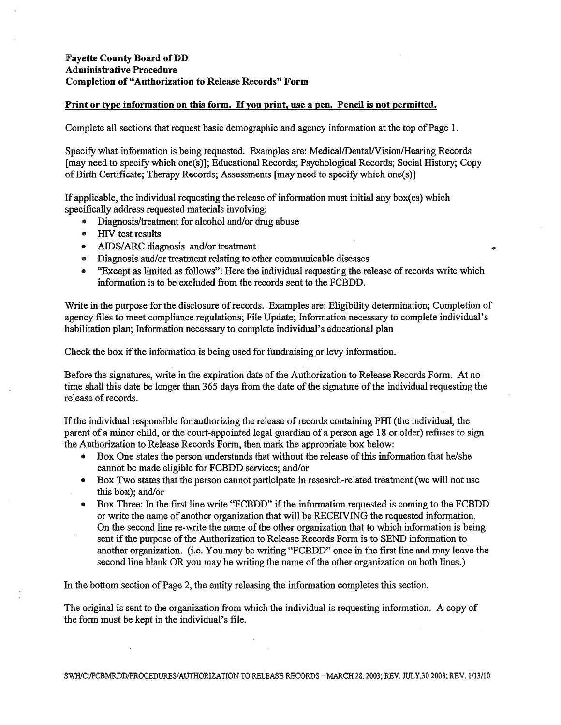### Fayette County Board of Dl) Administrative Procedure Completion of "Authorization to Release Records" Form

### Print or type information on this form. If you print, use a pen. Pencil is not permitted.

Complete all sections that reques<sup>t</sup> basic demographic and agency information at the top of Page 1.

Specify what information is being requested. Examples are: Medical/Dental/Vision/Hearing Records [may need to specify which one(s)]; Educational Records; Psychological Records; Social History; Copy ofBirth Certificate; Therapy Records; Assessments [may need to specify which one(s)]

If applicable, the individual requesting the release of information must initial any box(es) which specifically address requested materials involving:

- Diagnosis/treatment for alcohol and/or drug abuse
- •HIV test results
- $\bullet$ AIDS/ARC diagnosis and/or treatment
- Diagnosis and/or treatment relating to other communicable diseases  $\bullet$
- • "Except as limited as follows": Here the individual requesting the release of records write which information is to be excluded from the records sent to the FCBDD.

Write in the purpose for the disclosure of records. Examples are: Eligibility determination; Completion of agency files to meet compliance regulations; File Update; Information necessary to complete individual's habilitation plan; Information necessary to complete individual's educational plan

Check the box if the information is being used for fundraising or levy information.

Before the signatures, write in the expiration date of the Authorization to Release Records Form. At no time shall this date be longer than 365 days from the date of the signature of the individual requesting the release of records.

Ifthe individual responsible for authorizing the release ofrecords containing PHI (the individual, the paren<sup>t</sup> of <sup>a</sup> minor child, or the court-appointed legal guardian of <sup>a</sup> person age 18 or older) refuses to sign the Authorization to Release Records Form, then mark the appropriate box below:

- • Box One states the person understands that without the release of this information that he/she cannot be made eligible for FCBDD services; and/or
- Box Two states that the person cannot participate in research-related treatment (we will not use this box); and/or
- •Box Three: In the first line write "FCBDD" if the information requested is coming to the FCBDD or write the name of another organization that will be RECEIViNG the requested information. On the second line re-write the name of the other organization that to which information is being sent if the purpose of the Authorization to Release Records Form is to SEND information to another organization. (i.e. You may be writing "FCBDD" once in the first line and may leave the second line blank OR you may be writing the name of the other organization on both lines.)

In the bottom section of Page 2, the entity releasing the information completes this section.

The original is sent to the organization from which the individual is requesting information. A copy of the form must be kept in the individual's file.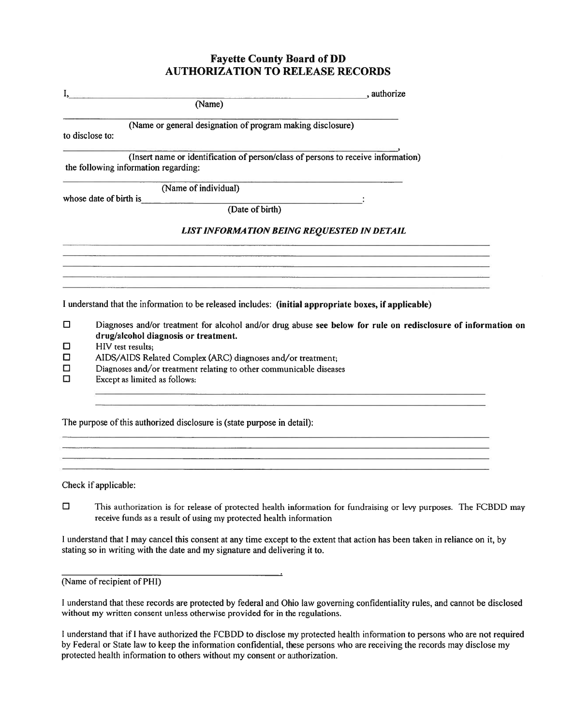### Fayette County Board of DD AUTHORIZATION TO RELEASE RECORDS

| I,          | , authorize                                                                                                               |
|-------------|---------------------------------------------------------------------------------------------------------------------------|
|             | (Name)                                                                                                                    |
|             | (Name or general designation of program making disclosure)<br>to disclose to:                                             |
|             | (Insert name or identification of person/class of persons to receive information)<br>the following information regarding: |
|             | (Name of individual)                                                                                                      |
|             | whose date of birth is                                                                                                    |
|             | (Date of birth)                                                                                                           |
|             | <b>LIST INFORMATION BEING REQUESTED IN DETAIL</b>                                                                         |
|             |                                                                                                                           |
|             | state and control to the control of the control of the control of the control of the control of the control of            |
|             |                                                                                                                           |
|             | I understand that the information to be released includes: (initial appropriate boxes, if applicable)                     |
| □           | Diagnoses and/or treatment for alcohol and/or drug abuse see below for rule on redisclosure of information on             |
|             | drug/alcohol diagnosis or treatment.                                                                                      |
| $\Box$      | HIV test results;                                                                                                         |
| 0<br>0<br>0 | AIDS/AIDS Related Complex (ARC) diagnoses and/or treatment;                                                               |
|             | Diagnoses and/or treatment relating to other communicable diseases                                                        |
|             | Except as limited as follows:                                                                                             |
|             |                                                                                                                           |
|             |                                                                                                                           |
|             |                                                                                                                           |

The purpose of this authorized disclosure is (state purpose in detail):

Check if applicable:

0 This authorization is for release of protected health information for fundraising or levy purposes. The FCBDD may receive funds as <sup>a</sup> result of using my protected health information

<sup>I</sup> understand that <sup>I</sup> may cancel this consent at any time excep<sup>t</sup> to the extent that action has been taken in reliance on it, by stating so in writing with the date and my signature and delivering it to.

 $\overline{a}$ 

(Name of recipient of PHI)

<sup>I</sup> understand that these records are protected by federal and Ohio law governing confidentiality rules, and cannot be disclosed without my written consent unless otherwise provided for in the regulations.

I understand that if I have authorized the FCBDD to disclose my protected health information to persons who are not required by Federal or State law to keep the information confidential, these persons who are receiving the records may disclose my protected health information to others without my consent or authorization.